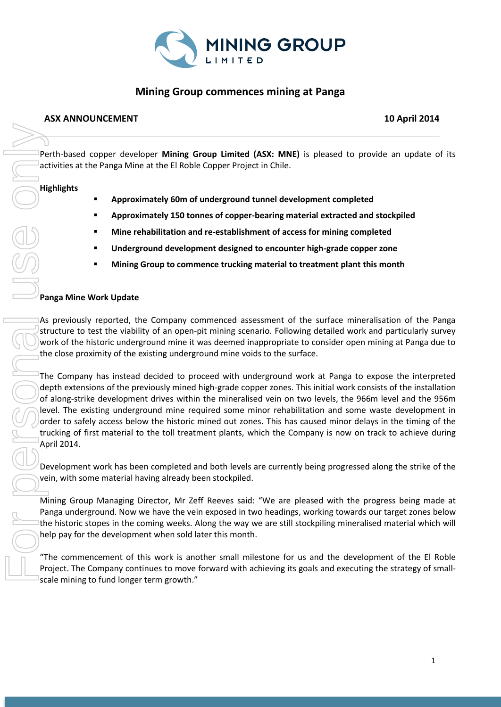

# **Mining Group commences mining at Panga**

## **ASX ANNOUNCEMENT 10 April 2014**

Perth-based copper developer **Mining Group Limited (ASX: MNE)** is pleased to provide an update of its activities at the Panga Mine at the El Roble Copper Project in Chile.

## **Highlights**

- **Approximately 60m of underground tunnel development completed**
- **Approximately 150 tonnes of copper-bearing material extracted and stockpiled**
- **Mine rehabilitation and re-establishment of access for mining completed**
- **Underground development designed to encounter high-grade copper zone**
- **Mining Group to commence trucking material to treatment plant this month**

## **Panga Mine Work Update**

As previously reported, the Company commenced assessment of the surface mineralisation of the Panga structure to test the viability of an open-pit mining scenario. Following detailed work and particularly survey work of the historic underground mine it was deemed inappropriate to consider open mining at Panga due to the close proximity of the existing underground mine voids to the surface.

The Company has instead decided to proceed with underground work at Panga to expose the interpreted depth extensions of the previously mined high-grade copper zones. This initial work consists of the installation of along-strike development drives within the mineralised vein on two levels, the 966m level and the 956m level. The existing underground mine required some minor rehabilitation and some waste development in order to safely access below the historic mined out zones. This has caused minor delays in the timing of the trucking of first material to the toll treatment plants, which the Company is now on track to achieve during April 2014. Protthessed copper developer Mining Group Limited (ASY: MNE) is pleased to provide an update of its<br>
rativities at the Panga Mine at the El Robie Copper Project in Chile.<br> **Approximately 60m of underground unnel developmen** 

Development work has been completed and both levels are currently being progressed along the strike of the vein, with some material having already been stockpiled.

Mining Group Managing Director, Mr Zeff Reeves said: "We are pleased with the progress being made at Panga underground. Now we have the vein exposed in two headings, working towards our target zones below the historic stopes in the coming weeks. Along the way we are still stockpiling mineralised material which will help pay for the development when sold later this month.

"The commencement of this work is another small milestone for us and the development of the El Roble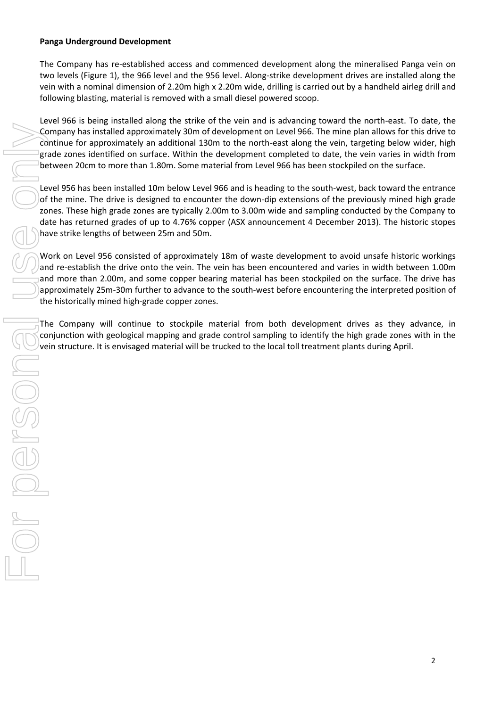#### **Panga Underground Development**

The Company has re-established access and commenced development along the mineralised Panga vein on two levels (Figure 1), the 966 level and the 956 level. Along-strike development drives are installed along the vein with a nominal dimension of 2.20m high x 2.20m wide, drilling is carried out by a handheld airleg drill and following blasting, material is removed with a small diesel powered scoop.

Level 966 is being installed along the strike of the vein and is advancing toward the north-east. To date, the Company has installed approximately 30m of development on Level 966. The mine plan allows for this drive to continue for approximately an additional 130m to the north-east along the vein, targeting below wider, high grade zones identified on surface. Within the development completed to date, the vein varies in width from between 20cm to more than 1.80m. Some material from Level 966 has been stockpiled on the surface.

Level 956 has been installed 10m below Level 966 and is heading to the south-west, back toward the entrance of the mine. The drive is designed to encounter the down-dip extensions of the previously mined high grade zones. These high grade zones are typically 2.00m to 3.00m wide and sampling conducted by the Company to date has returned grades of up to 4.76% copper (ASX announcement 4 December 2013). The historic stopes have strike lengths of between 25m and 50m.

Work on Level 956 consisted of approximately 18m of waste development to avoid unsafe historic workings and re-establish the drive onto the vein. The vein has been encountered and varies in width between 1.00m and more than 2.00m, and some copper bearing material has been stockpiled on the surface. The drive has approximately 25m-30m further to advance to the south-west before encountering the interpreted position of the historically mined high-grade copper zones. vering will est promotion the interest of the interest of the frequency on the velocity the mine plants above for the minimism of development of meta-local transfer and trucked to the structure between 20cm to more than 1.

The Company will continue to stockpile material from both development drives as they advance, in conjunction with geological mapping and grade control sampling to identify the high grade zones with in the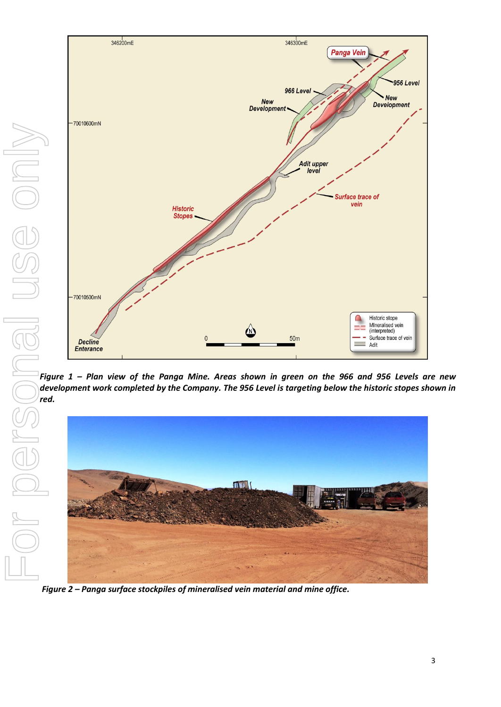

*Figure 1 – Plan view of the Panga Mine. Areas shown in green on the 966 and 956 Levels are new development work completed by the Company. The 956 Level is targeting below the historic stopes shown in* 



*Figure 2 – Panga surface stockpiles of mineralised vein material and mine office.*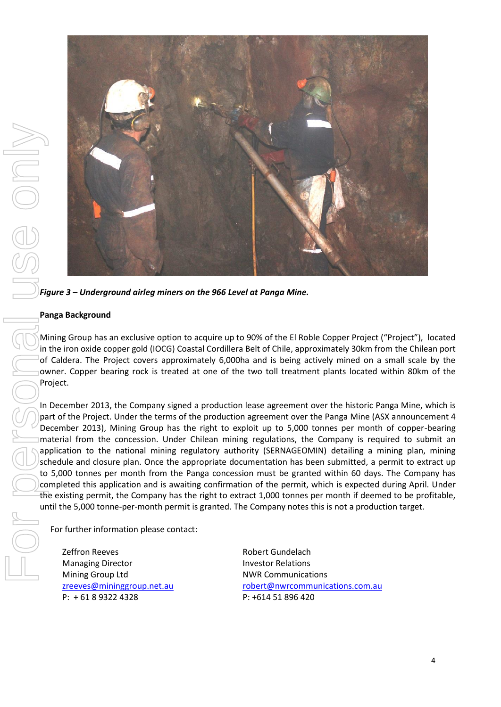

*Figure 3 – Underground airleg miners on the 966 Level at Panga Mine.*

#### **Panga Background**

Mining Group has an exclusive option to acquire up to 90% of the El Roble Copper Project ("Project"), located in the iron oxide copper gold (IOCG) Coastal Cordillera Belt of Chile, approximately 30km from the Chilean port of Caldera. The Project covers approximately 6,000ha and is being actively mined on a small scale by the owner. Copper bearing rock is treated at one of the two toll treatment plants located within 80km of the Project.

In December 2013, the Company signed a production lease agreement over the historic Panga Mine, which is part of the Project. Under the terms of the production agreement over the Panga Mine (ASX announcement 4 December 2013), Mining Group has the right to exploit up to 5,000 tonnes per month of copper-bearing material from the concession. Under Chilean mining regulations, the Company is required to submit an application to the national mining regulatory authority (SERNAGEOMIN) detailing a mining plan, mining schedule and closure plan. Once the appropriate documentation has been submitted, a permit to extract up to 5,000 tonnes per month from the Panga concession must be granted within 60 days. The Company has completed this application and is awaiting confirmation of the permit, which is expected during April. Under the existing permit, the Company has the right to extract 1,000 tonnes per month if deemed to be profitable, until the 5,000 tonne-per-month permit is granted. The Company notes this is not a production target.

For further information please contact:

Zeffron Reeves Managing Director Mining Group Ltd [zreeves@mininggroup.net.au](mailto:zreeves@mininggroup.net.au) P: + 61 8 9322 4328

Robert Gundelach Investor Relations NWR Communications [robert@nwrcommunications.com.au](mailto:robert@nwrcommunications.com.au) P: +614 51 896 420